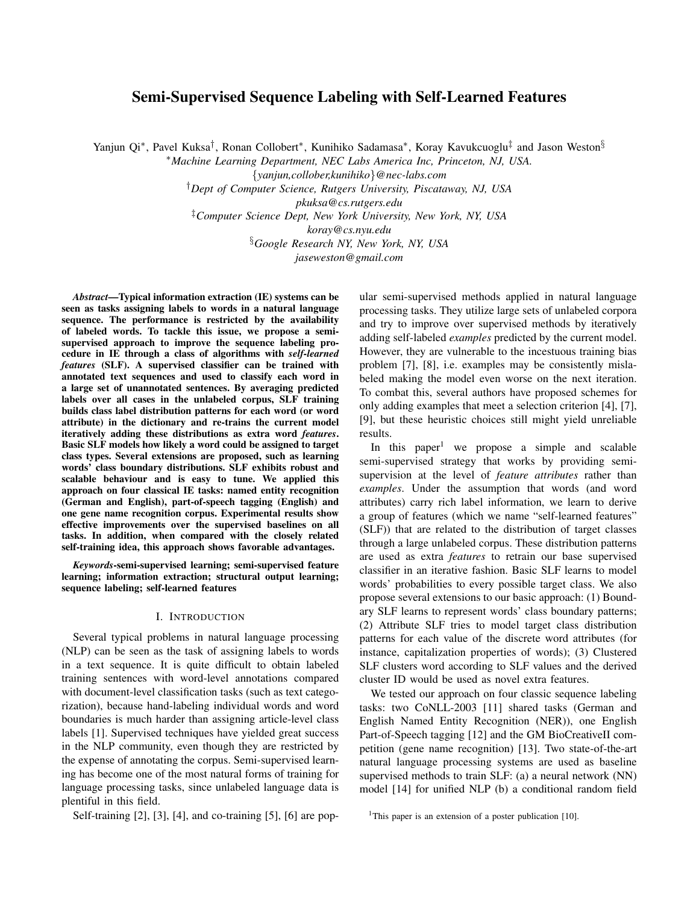# Semi-Supervised Sequence Labeling with Self-Learned Features

Yanjun Qi\*, Pavel Kuksa<sup>†</sup>, Ronan Collobert\*, Kunihiko Sadamasa\*, Koray Kavukcuoglu<sup>‡</sup> and Jason Weston<sup>§</sup>

<sup>∗</sup>*Machine Learning Department, NEC Labs America Inc, Princeton, NJ, USA.*

{*yanjun,collober,kunihiko*}*@nec-labs.com*

†*Dept of Computer Science, Rutgers University, Piscataway, NJ, USA*

*pkuksa@cs.rutgers.edu*

‡*Computer Science Dept, New York University, New York, NY, USA*

*koray@cs.nyu.edu*

§*Google Research NY, New York, NY, USA*

*jaseweston@gmail.com*

*Abstract*—Typical information extraction (IE) systems can be seen as tasks assigning labels to words in a natural language sequence. The performance is restricted by the availability of labeled words. To tackle this issue, we propose a semisupervised approach to improve the sequence labeling procedure in IE through a class of algorithms with *self-learned features* (SLF). A supervised classifier can be trained with annotated text sequences and used to classify each word in a large set of unannotated sentences. By averaging predicted labels over all cases in the unlabeled corpus, SLF training builds class label distribution patterns for each word (or word attribute) in the dictionary and re-trains the current model iteratively adding these distributions as extra word *features*. Basic SLF models how likely a word could be assigned to target class types. Several extensions are proposed, such as learning words' class boundary distributions. SLF exhibits robust and scalable behaviour and is easy to tune. We applied this approach on four classical IE tasks: named entity recognition (German and English), part-of-speech tagging (English) and one gene name recognition corpus. Experimental results show effective improvements over the supervised baselines on all tasks. In addition, when compared with the closely related self-training idea, this approach shows favorable advantages.

*Keywords*-semi-supervised learning; semi-supervised feature learning; information extraction; structural output learning; sequence labeling; self-learned features

#### I. INTRODUCTION

Several typical problems in natural language processing (NLP) can be seen as the task of assigning labels to words in a text sequence. It is quite difficult to obtain labeled training sentences with word-level annotations compared with document-level classification tasks (such as text categorization), because hand-labeling individual words and word boundaries is much harder than assigning article-level class labels [1]. Supervised techniques have yielded great success in the NLP community, even though they are restricted by the expense of annotating the corpus. Semi-supervised learning has become one of the most natural forms of training for language processing tasks, since unlabeled language data is plentiful in this field.

Self-training [2], [3], [4], and co-training [5], [6] are pop-

ular semi-supervised methods applied in natural language processing tasks. They utilize large sets of unlabeled corpora and try to improve over supervised methods by iteratively adding self-labeled *examples* predicted by the current model. However, they are vulnerable to the incestuous training bias problem [7], [8], i.e. examples may be consistently mislabeled making the model even worse on the next iteration. To combat this, several authors have proposed schemes for only adding examples that meet a selection criterion [4], [7], [9], but these heuristic choices still might yield unreliable results.

In this paper<sup>1</sup> we propose a simple and scalable semi-supervised strategy that works by providing semisupervision at the level of *feature attributes* rather than *examples*. Under the assumption that words (and word attributes) carry rich label information, we learn to derive a group of features (which we name "self-learned features" (SLF)) that are related to the distribution of target classes through a large unlabeled corpus. These distribution patterns are used as extra *features* to retrain our base supervised classifier in an iterative fashion. Basic SLF learns to model words' probabilities to every possible target class. We also propose several extensions to our basic approach: (1) Boundary SLF learns to represent words' class boundary patterns; (2) Attribute SLF tries to model target class distribution patterns for each value of the discrete word attributes (for instance, capitalization properties of words); (3) Clustered SLF clusters word according to SLF values and the derived cluster ID would be used as novel extra features.

We tested our approach on four classic sequence labeling tasks: two CoNLL-2003 [11] shared tasks (German and English Named Entity Recognition (NER)), one English Part-of-Speech tagging [12] and the GM BioCreativeII competition (gene name recognition) [13]. Two state-of-the-art natural language processing systems are used as baseline supervised methods to train SLF: (a) a neural network (NN) model [14] for unified NLP (b) a conditional random field

<sup>&</sup>lt;sup>1</sup>This paper is an extension of a poster publication [10].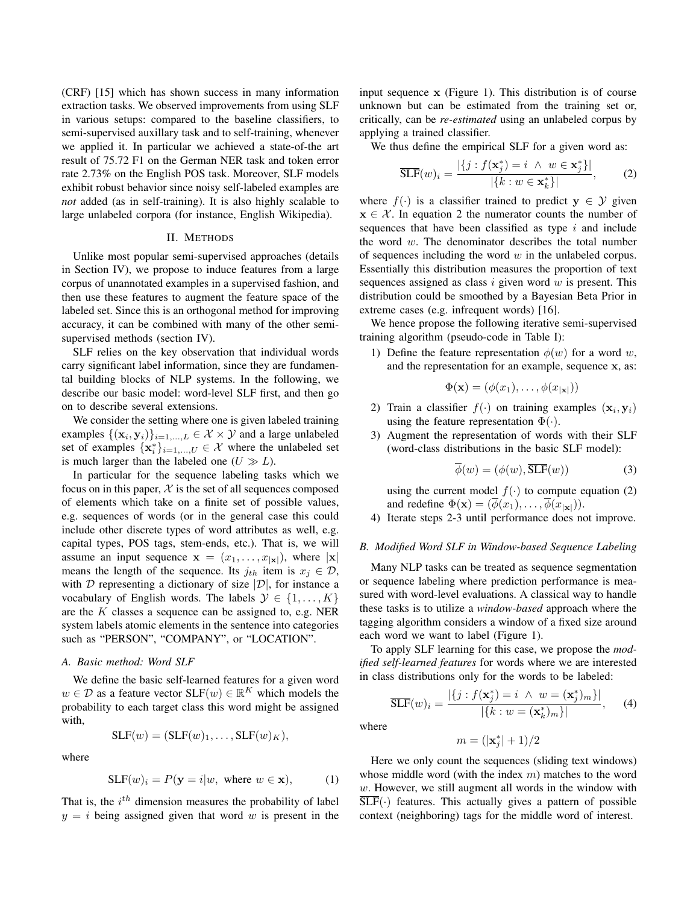(CRF) [15] which has shown success in many information extraction tasks. We observed improvements from using SLF in various setups: compared to the baseline classifiers, to semi-supervised auxillary task and to self-training, whenever we applied it. In particular we achieved a state-of-the art result of 75.72 F1 on the German NER task and token error rate 2.73% on the English POS task. Moreover, SLF models exhibit robust behavior since noisy self-labeled examples are *not* added (as in self-training). It is also highly scalable to large unlabeled corpora (for instance, English Wikipedia).

## II. METHODS

Unlike most popular semi-supervised approaches (details in Section IV), we propose to induce features from a large corpus of unannotated examples in a supervised fashion, and then use these features to augment the feature space of the labeled set. Since this is an orthogonal method for improving accuracy, it can be combined with many of the other semisupervised methods (section IV).

SLF relies on the key observation that individual words carry significant label information, since they are fundamental building blocks of NLP systems. In the following, we describe our basic model: word-level SLF first, and then go on to describe several extensions.

We consider the setting where one is given labeled training examples  $\{(\mathbf{x}_i, \mathbf{y}_i)\}_{i=1,\dots,L} \in \mathcal{X} \times \mathcal{Y}$  and a large unlabeled set of examples  $\{x_i^*\}_{i=1,\dots,U} \in \mathcal{X}$  where the unlabeled set is much larger than the labeled one  $(U \gg L)$ .

In particular for the sequence labeling tasks which we focus on in this paper,  $X$  is the set of all sequences composed of elements which take on a finite set of possible values, e.g. sequences of words (or in the general case this could include other discrete types of word attributes as well, e.g. capital types, POS tags, stem-ends, etc.). That is, we will assume an input sequence  $\mathbf{x} = (x_1, \dots, x_{|\mathbf{x}|})$ , where  $|\mathbf{x}|$ means the length of the sequence. Its  $j_{th}$  item is  $x_j \in \mathcal{D}$ , with  $D$  representing a dictionary of size  $|D|$ , for instance a vocabulary of English words. The labels  $\mathcal{Y} \in \{1, \ldots, K\}$ are the K classes a sequence can be assigned to, e.g. NER system labels atomic elements in the sentence into categories such as "PERSON", "COMPANY", or "LOCATION".

# *A. Basic method: Word SLF*

We define the basic self-learned features for a given word  $w \in \mathcal{D}$  as a feature vector  $SLF(w) \in \mathbb{R}^K$  which models the probability to each target class this word might be assigned with,

$$
SLF(w) = (SLF(w)1, ..., SLF(w)K),
$$

where

$$
SLF(w)_i = P(\mathbf{y} = i|w, \text{ where } w \in \mathbf{x}), \quad (1)
$$

That is, the  $i<sup>th</sup>$  dimension measures the probability of label  $y = i$  being assigned given that word w is present in the input sequence x (Figure 1). This distribution is of course unknown but can be estimated from the training set or, critically, can be *re-estimated* using an unlabeled corpus by applying a trained classifier.

We thus define the empirical SLF for a given word as:

$$
\overline{\text{SLF}}(w)_i = \frac{|\{j : f(\mathbf{x}_j^*) = i \ \wedge \ w \in \mathbf{x}_j^*\}|}{|\{k : w \in \mathbf{x}_k^*\}|},\qquad(2)
$$

where  $f(\cdot)$  is a classifier trained to predict  $y \in \mathcal{Y}$  given  $x \in \mathcal{X}$ . In equation 2 the numerator counts the number of sequences that have been classified as type  $i$  and include the word w. The denominator describes the total number of sequences including the word  $w$  in the unlabeled corpus. Essentially this distribution measures the proportion of text sequences assigned as class  $i$  given word  $w$  is present. This distribution could be smoothed by a Bayesian Beta Prior in extreme cases (e.g. infrequent words) [16].

We hence propose the following iterative semi-supervised training algorithm (pseudo-code in Table I):

1) Define the feature representation  $\phi(w)$  for a word w, and the representation for an example, sequence x, as:

$$
\Phi(\mathbf{x}) = (\phi(x_1), \dots, \phi(x_{|\mathbf{x}|}))
$$

- 2) Train a classifier  $f(\cdot)$  on training examples  $(\mathbf{x}_i, \mathbf{y}_i)$ using the feature representation  $\Phi(\cdot)$ .
- 3) Augment the representation of words with their SLF (word-class distributions in the basic SLF model):

$$
\overline{\phi}(w) = (\phi(w), \overline{\text{SLF}}(w))
$$
 (3)

using the current model  $f(.)$  to compute equation (2) and redefine  $\Phi(\mathbf{x}) = (\overline{\phi}(x_1), \dots, \overline{\phi}(x_{|\mathbf{x}|})).$ 

4) Iterate steps 2-3 until performance does not improve.

# *B. Modified Word SLF in Window-based Sequence Labeling*

Many NLP tasks can be treated as sequence segmentation or sequence labeling where prediction performance is measured with word-level evaluations. A classical way to handle these tasks is to utilize a *window-based* approach where the tagging algorithm considers a window of a fixed size around each word we want to label (Figure 1).

To apply SLF learning for this case, we propose the *modified self-learned features* for words where we are interested in class distributions only for the words to be labeled:

$$
\overline{\text{SLF}}(w)_i = \frac{|\{j : f(\mathbf{x}_j^*) = i \ \wedge \ w = (\mathbf{x}_j^*)_m\}|}{|\{k : w = (\mathbf{x}_k^*)_m\}|},\qquad(4)
$$

where

$$
m = (|\mathbf{x}_j^*| + 1)/2
$$

Here we only count the sequences (sliding text windows) whose middle word (with the index  $m$ ) matches to the word w. However, we still augment all words in the window with  $\overline{\text{SLF}}(\cdot)$  features. This actually gives a pattern of possible context (neighboring) tags for the middle word of interest.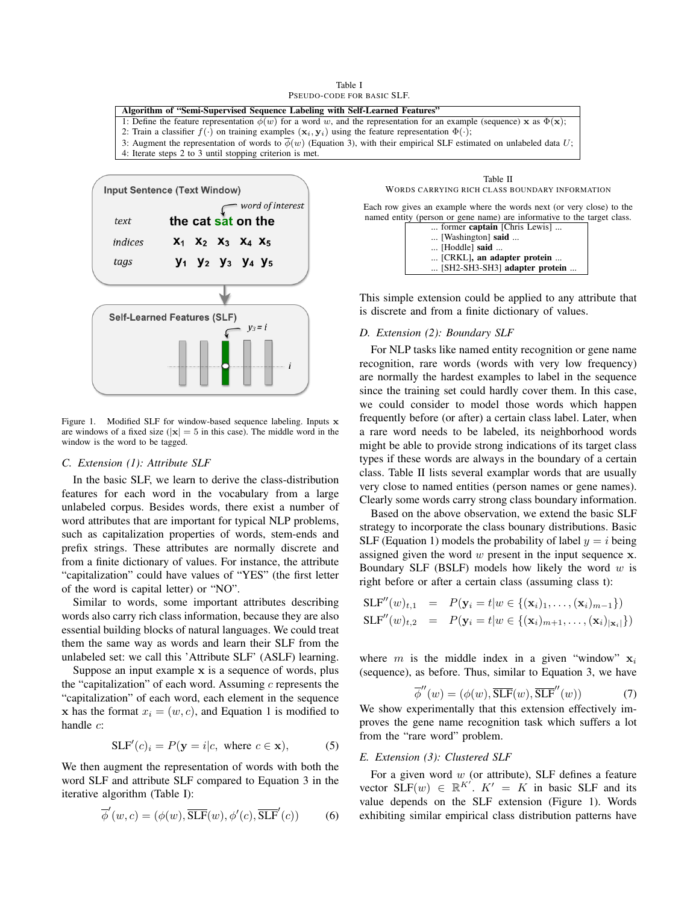Table I PSEUDO-CODE FOR BASIC SLF.



# *D. Extension (2): Boundary SLF*

For NLP tasks like named entity recognition or gene name recognition, rare words (words with very low frequency) are normally the hardest examples to label in the sequence since the training set could hardly cover them. In this case, we could consider to model those words which happen frequently before (or after) a certain class label. Later, when a rare word needs to be labeled, its neighborhood words might be able to provide strong indications of its target class types if these words are always in the boundary of a certain class. Table II lists several examplar words that are usually very close to named entities (person names or gene names). Clearly some words carry strong class boundary information.

Based on the above observation, we extend the basic SLF strategy to incorporate the class bounary distributions. Basic SLF (Equation 1) models the probability of label  $y = i$  being assigned given the word  $w$  present in the input sequence  $x$ . Boundary SLF (BSLF) models how likely the word  $w$  is right before or after a certain class (assuming class t):

$$
SLF''(w)_{t,1} = P(\mathbf{y}_i = t | w \in \{(\mathbf{x}_i)_1, \dots, (\mathbf{x}_i)_{m-1}\})
$$
  

$$
SLF''(w)_{t,2} = P(\mathbf{y}_i = t | w \in \{(\mathbf{x}_i)_{m+1}, \dots, (\mathbf{x}_i)_{|\mathbf{x}_i|}\})
$$

where m is the middle index in a given "window"  $x_i$ (sequence), as before. Thus, similar to Equation 3, we have

$$
\overline{\phi}''(w) = (\phi(w), \overline{\text{SLF}}(w), \overline{\text{SLF}}''(w))
$$
\n(7)

We show experimentally that this extension effectively improves the gene name recognition task which suffers a lot from the "rare word" problem.

# *E. Extension (3): Clustered SLF*

For a given word  $w$  (or attribute), SLF defines a feature vector  $SLF(w) \in \mathbb{R}^{K'}$ .  $K' = K$  in basic SLF and its value depends on the SLF extension (Figure 1). Words exhibiting similar empirical class distribution patterns have



Figure 1. Modified SLF for window-based sequence labeling. Inputs x are windows of a fixed size ( $|x| = 5$  in this case). The middle word in the window is the word to be tagged.

#### *C. Extension (1): Attribute SLF*

In the basic SLF, we learn to derive the class-distribution features for each word in the vocabulary from a large unlabeled corpus. Besides words, there exist a number of word attributes that are important for typical NLP problems, such as capitalization properties of words, stem-ends and prefix strings. These attributes are normally discrete and from a finite dictionary of values. For instance, the attribute "capitalization" could have values of "YES" (the first letter of the word is capital letter) or "NO".

Similar to words, some important attributes describing words also carry rich class information, because they are also essential building blocks of natural languages. We could treat them the same way as words and learn their SLF from the unlabeled set: we call this 'Attribute SLF' (ASLF) learning.

Suppose an input example x is a sequence of words, plus the "capitalization" of each word. Assuming  $c$  represents the "capitalization" of each word, each element in the sequence x has the format  $x_i = (w, c)$ , and Equation 1 is modified to handle  $c$ :

$$
SLF'(c)_i = P(\mathbf{y} = i|c, \text{ where } c \in \mathbf{x}), \tag{5}
$$

We then augment the representation of words with both the word SLF and attribute SLF compared to Equation 3 in the iterative algorithm (Table I):

$$
\overline{\phi}'(w, c) = (\phi(w), \overline{\text{SLF}}(w), \phi'(c), \overline{\text{SLF}}'(c))
$$
 (6)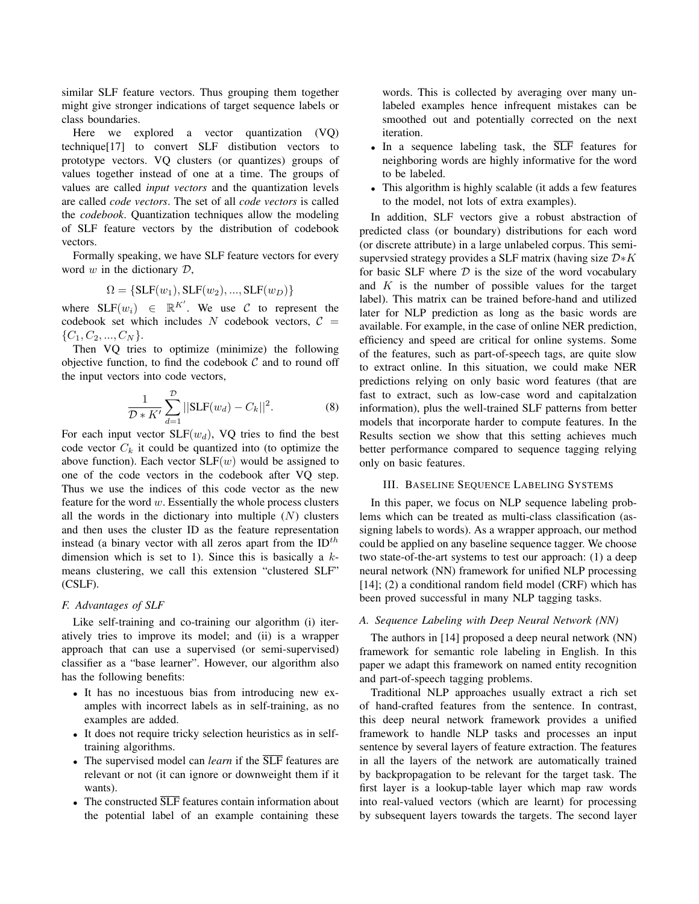similar SLF feature vectors. Thus grouping them together might give stronger indications of target sequence labels or class boundaries.

Here we explored a vector quantization (VQ) technique[17] to convert SLF distibution vectors to prototype vectors. VQ clusters (or quantizes) groups of values together instead of one at a time. The groups of values are called *input vectors* and the quantization levels are called *code vectors*. The set of all *code vectors* is called the *codebook*. Quantization techniques allow the modeling of SLF feature vectors by the distribution of codebook vectors.

Formally speaking, we have SLF feature vectors for every word  $w$  in the dictionary  $D$ ,

$$
\Omega = \{SLF(w_1), SLF(w_2), ..., SLF(w_D)\}
$$

where  $SLF(w_i) \in \mathbb{R}^{K'}$ . We use C to represent the codebook set which includes N codebook vectors,  $C =$  $\{C_1, C_2, ..., C_N\}.$ 

Then VQ tries to optimize (minimize) the following objective function, to find the codebook  $C$  and to round off the input vectors into code vectors,

$$
\frac{1}{\mathcal{D} * K'} \sum_{d=1}^{\mathcal{D}} ||\text{SLF}(w_d) - C_k||^2.
$$
 (8)

For each input vector  $SLF(w_d)$ , VQ tries to find the best code vector  $C_k$  it could be quantized into (to optimize the above function). Each vector  $SLF(w)$  would be assigned to one of the code vectors in the codebook after VQ step. Thus we use the indices of this code vector as the new feature for the word  $w$ . Essentially the whole process clusters all the words in the dictionary into multiple  $(N)$  clusters and then uses the cluster ID as the feature representation instead (a binary vector with all zeros apart from the  $ID^{th}$ dimension which is set to 1). Since this is basically a  $k$ means clustering, we call this extension "clustered SLF" (CSLF).

## *F. Advantages of SLF*

Like self-training and co-training our algorithm (i) iteratively tries to improve its model; and (ii) is a wrapper approach that can use a supervised (or semi-supervised) classifier as a "base learner". However, our algorithm also has the following benefits:

- It has no incestuous bias from introducing new examples with incorrect labels as in self-training, as no examples are added.
- It does not require tricky selection heuristics as in selftraining algorithms.
- The supervised model can *learn* if the SLF features are relevant or not (it can ignore or downweight them if it wants).
- The constructed  $\overline{\text{SLF}}$  features contain information about the potential label of an example containing these

words. This is collected by averaging over many unlabeled examples hence infrequent mistakes can be smoothed out and potentially corrected on the next iteration.

- In a sequence labeling task, the  $\overline{SLF}$  features for neighboring words are highly informative for the word to be labeled.
- This algorithm is highly scalable (it adds a few features to the model, not lots of extra examples).

In addition, SLF vectors give a robust abstraction of predicted class (or boundary) distributions for each word (or discrete attribute) in a large unlabeled corpus. This semisupervsied strategy provides a SLF matrix (having size  $D*K$ for basic SLF where  $D$  is the size of the word vocabulary and  $K$  is the number of possible values for the target label). This matrix can be trained before-hand and utilized later for NLP prediction as long as the basic words are available. For example, in the case of online NER prediction, efficiency and speed are critical for online systems. Some of the features, such as part-of-speech tags, are quite slow to extract online. In this situation, we could make NER predictions relying on only basic word features (that are fast to extract, such as low-case word and capitalzation information), plus the well-trained SLF patterns from better models that incorporate harder to compute features. In the Results section we show that this setting achieves much better performance compared to sequence tagging relying only on basic features.

# III. BASELINE SEQUENCE LABELING SYSTEMS

In this paper, we focus on NLP sequence labeling problems which can be treated as multi-class classification (assigning labels to words). As a wrapper approach, our method could be applied on any baseline sequence tagger. We choose two state-of-the-art systems to test our approach: (1) a deep neural network (NN) framework for unified NLP processing [14]; (2) a conditional random field model (CRF) which has been proved successful in many NLP tagging tasks.

# *A. Sequence Labeling with Deep Neural Network (NN)*

The authors in [14] proposed a deep neural network (NN) framework for semantic role labeling in English. In this paper we adapt this framework on named entity recognition and part-of-speech tagging problems.

Traditional NLP approaches usually extract a rich set of hand-crafted features from the sentence. In contrast, this deep neural network framework provides a unified framework to handle NLP tasks and processes an input sentence by several layers of feature extraction. The features in all the layers of the network are automatically trained by backpropagation to be relevant for the target task. The first layer is a lookup-table layer which map raw words into real-valued vectors (which are learnt) for processing by subsequent layers towards the targets. The second layer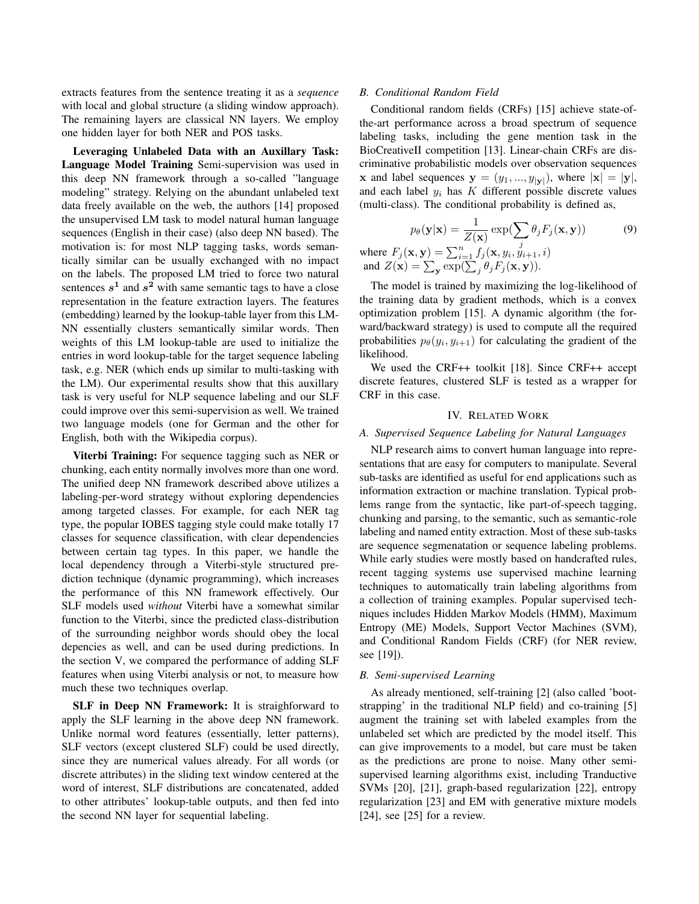extracts features from the sentence treating it as a *sequence* with local and global structure (a sliding window approach). The remaining layers are classical NN layers. We employ one hidden layer for both NER and POS tasks.

Leveraging Unlabeled Data with an Auxillary Task: Language Model Training Semi-supervision was used in this deep NN framework through a so-called "language modeling" strategy. Relying on the abundant unlabeled text data freely available on the web, the authors [14] proposed the unsupervised LM task to model natural human language sequences (English in their case) (also deep NN based). The motivation is: for most NLP tagging tasks, words semantically similar can be usually exchanged with no impact on the labels. The proposed LM tried to force two natural sentences  $s^1$  and  $s^2$  with same semantic tags to have a close representation in the feature extraction layers. The features (embedding) learned by the lookup-table layer from this LM-NN essentially clusters semantically similar words. Then weights of this LM lookup-table are used to initialize the entries in word lookup-table for the target sequence labeling task, e.g. NER (which ends up similar to multi-tasking with the LM). Our experimental results show that this auxillary task is very useful for NLP sequence labeling and our SLF could improve over this semi-supervision as well. We trained two language models (one for German and the other for English, both with the Wikipedia corpus).

Viterbi Training: For sequence tagging such as NER or chunking, each entity normally involves more than one word. The unified deep NN framework described above utilizes a labeling-per-word strategy without exploring dependencies among targeted classes. For example, for each NER tag type, the popular IOBES tagging style could make totally 17 classes for sequence classification, with clear dependencies between certain tag types. In this paper, we handle the local dependency through a Viterbi-style structured prediction technique (dynamic programming), which increases the performance of this NN framework effectively. Our SLF models used *without* Viterbi have a somewhat similar function to the Viterbi, since the predicted class-distribution of the surrounding neighbor words should obey the local depencies as well, and can be used during predictions. In the section V, we compared the performance of adding SLF features when using Viterbi analysis or not, to measure how much these two techniques overlap.

SLF in Deep NN Framework: It is straighforward to apply the SLF learning in the above deep NN framework. Unlike normal word features (essentially, letter patterns), SLF vectors (except clustered SLF) could be used directly, since they are numerical values already. For all words (or discrete attributes) in the sliding text window centered at the word of interest, SLF distributions are concatenated, added to other attributes' lookup-table outputs, and then fed into the second NN layer for sequential labeling.

## *B. Conditional Random Field*

Conditional random fields (CRFs) [15] achieve state-ofthe-art performance across a broad spectrum of sequence labeling tasks, including the gene mention task in the BioCreativeII competition [13]. Linear-chain CRFs are discriminative probabilistic models over observation sequences **x** and label sequences  $y = (y_1, ..., y_{|\mathbf{y}|})$ , where  $|\mathbf{x}| = |\mathbf{y}|$ , and each label  $y_i$  has  $K$  different possible discrete values (multi-class). The conditional probability is defined as,

$$
p_{\theta}(\mathbf{y}|\mathbf{x}) = \frac{1}{Z(\mathbf{x})} \exp(\sum_{j} \theta_{j} F_{j}(\mathbf{x}, \mathbf{y}))
$$
(9)

where  $F_j(\mathbf{x}, \mathbf{y}) = \sum_{i=1}^{n} f_j(\mathbf{x}, y_i, y_{i+1}, i)$ and  $Z(\mathbf{x}) = \sum_{\mathbf{y}} \exp(\sum_j \theta_j F_j(\mathbf{x}, \mathbf{y})).$ 

The model is trained by maximizing the log-likelihood of the training data by gradient methods, which is a convex optimization problem [15]. A dynamic algorithm (the forward/backward strategy) is used to compute all the required probabilities  $p_{\theta}(y_i, y_{i+1})$  for calculating the gradient of the likelihood.

We used the CRF++ toolkit [18]. Since CRF++ accept discrete features, clustered SLF is tested as a wrapper for CRF in this case.

# IV. RELATED WORK

#### *A. Supervised Sequence Labeling for Natural Languages*

NLP research aims to convert human language into representations that are easy for computers to manipulate. Several sub-tasks are identified as useful for end applications such as information extraction or machine translation. Typical problems range from the syntactic, like part-of-speech tagging, chunking and parsing, to the semantic, such as semantic-role labeling and named entity extraction. Most of these sub-tasks are sequence segmenatation or sequence labeling problems. While early studies were mostly based on handcrafted rules, recent tagging systems use supervised machine learning techniques to automatically train labeling algorithms from a collection of training examples. Popular supervised techniques includes Hidden Markov Models (HMM), Maximum Entropy (ME) Models, Support Vector Machines (SVM), and Conditional Random Fields (CRF) (for NER review, see [19]).

#### *B. Semi-supervised Learning*

As already mentioned, self-training [2] (also called 'bootstrapping' in the traditional NLP field) and co-training [5] augment the training set with labeled examples from the unlabeled set which are predicted by the model itself. This can give improvements to a model, but care must be taken as the predictions are prone to noise. Many other semisupervised learning algorithms exist, including Tranductive SVMs [20], [21], graph-based regularization [22], entropy regularization [23] and EM with generative mixture models [24], see [25] for a review.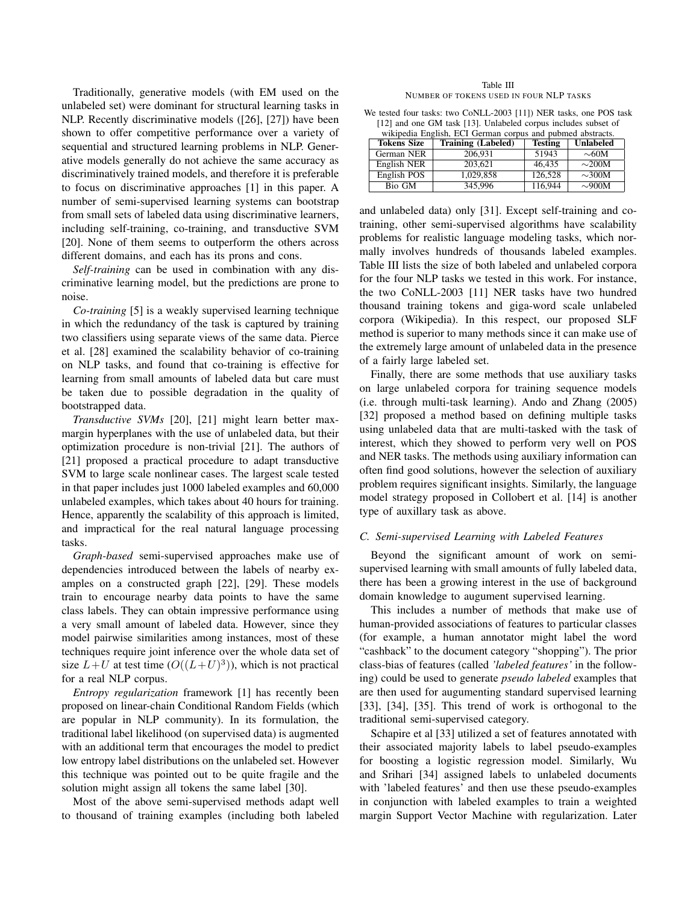Traditionally, generative models (with EM used on the unlabeled set) were dominant for structural learning tasks in NLP. Recently discriminative models ([26], [27]) have been shown to offer competitive performance over a variety of sequential and structured learning problems in NLP. Generative models generally do not achieve the same accuracy as discriminatively trained models, and therefore it is preferable to focus on discriminative approaches [1] in this paper. A number of semi-supervised learning systems can bootstrap from small sets of labeled data using discriminative learners, including self-training, co-training, and transductive SVM [20]. None of them seems to outperform the others across different domains, and each has its prons and cons.

*Self-training* can be used in combination with any discriminative learning model, but the predictions are prone to noise.

*Co-training* [5] is a weakly supervised learning technique in which the redundancy of the task is captured by training two classifiers using separate views of the same data. Pierce et al. [28] examined the scalability behavior of co-training on NLP tasks, and found that co-training is effective for learning from small amounts of labeled data but care must be taken due to possible degradation in the quality of bootstrapped data.

*Transductive SVMs* [20], [21] might learn better maxmargin hyperplanes with the use of unlabeled data, but their optimization procedure is non-trivial [21]. The authors of [21] proposed a practical procedure to adapt transductive SVM to large scale nonlinear cases. The largest scale tested in that paper includes just 1000 labeled examples and 60,000 unlabeled examples, which takes about 40 hours for training. Hence, apparently the scalability of this approach is limited, and impractical for the real natural language processing tasks.

*Graph-based* semi-supervised approaches make use of dependencies introduced between the labels of nearby examples on a constructed graph [22], [29]. These models train to encourage nearby data points to have the same class labels. They can obtain impressive performance using a very small amount of labeled data. However, since they model pairwise similarities among instances, most of these techniques require joint inference over the whole data set of size  $L+U$  at test time  $(O((L+U)^3))$ , which is not practical for a real NLP corpus.

*Entropy regularization* framework [1] has recently been proposed on linear-chain Conditional Random Fields (which are popular in NLP community). In its formulation, the traditional label likelihood (on supervised data) is augmented with an additional term that encourages the model to predict low entropy label distributions on the unlabeled set. However this technique was pointed out to be quite fragile and the solution might assign all tokens the same label [30].

Most of the above semi-supervised methods adapt well to thousand of training examples (including both labeled

| Table III                               |  |  |  |  |
|-----------------------------------------|--|--|--|--|
| NUMBER OF TOKENS USED IN FOUR NLP TASKS |  |  |  |  |

We tested four tasks: two CoNLL-2003 [11]) NER tasks, one POS task [12] and one GM task [13]. Unlabeled corpus includes subset of

| wikipedia English, ECI German corpus and pubmed abstracts. |                           |                |                  |  |
|------------------------------------------------------------|---------------------------|----------------|------------------|--|
| <b>Tokens Size</b>                                         | <b>Training (Labeled)</b> | <b>Testing</b> | <b>Unlabeled</b> |  |
| German NER                                                 | 206.931                   | 51943          | $\sim$ 60M       |  |
| English NER                                                | 203.621                   | 46.435         | $\sim$ 200M      |  |
| English POS                                                | 1,029,858                 | 126,528        | $\sim$ 300M      |  |
| Bio GM                                                     | 345,996                   | 116,944        | $\sim 900M$      |  |

and unlabeled data) only [31]. Except self-training and cotraining, other semi-supervised algorithms have scalability problems for realistic language modeling tasks, which normally involves hundreds of thousands labeled examples. Table III lists the size of both labeled and unlabeled corpora for the four NLP tasks we tested in this work. For instance, the two CoNLL-2003 [11] NER tasks have two hundred thousand training tokens and giga-word scale unlabeled corpora (Wikipedia). In this respect, our proposed SLF method is superior to many methods since it can make use of the extremely large amount of unlabeled data in the presence of a fairly large labeled set.

Finally, there are some methods that use auxiliary tasks on large unlabeled corpora for training sequence models (i.e. through multi-task learning). Ando and Zhang (2005) [32] proposed a method based on defining multiple tasks using unlabeled data that are multi-tasked with the task of interest, which they showed to perform very well on POS and NER tasks. The methods using auxiliary information can often find good solutions, however the selection of auxiliary problem requires significant insights. Similarly, the language model strategy proposed in Collobert et al. [14] is another type of auxillary task as above.

# *C. Semi-supervised Learning with Labeled Features*

Beyond the significant amount of work on semisupervised learning with small amounts of fully labeled data, there has been a growing interest in the use of background domain knowledge to augument supervised learning.

This includes a number of methods that make use of human-provided associations of features to particular classes (for example, a human annotator might label the word "cashback" to the document category "shopping"). The prior class-bias of features (called *'labeled features'* in the following) could be used to generate *pseudo labeled* examples that are then used for augumenting standard supervised learning [33], [34], [35]. This trend of work is orthogonal to the traditional semi-supervised category.

Schapire et al [33] utilized a set of features annotated with their associated majority labels to label pseudo-examples for boosting a logistic regression model. Similarly, Wu and Srihari [34] assigned labels to unlabeled documents with 'labeled features' and then use these pseudo-examples in conjunction with labeled examples to train a weighted margin Support Vector Machine with regularization. Later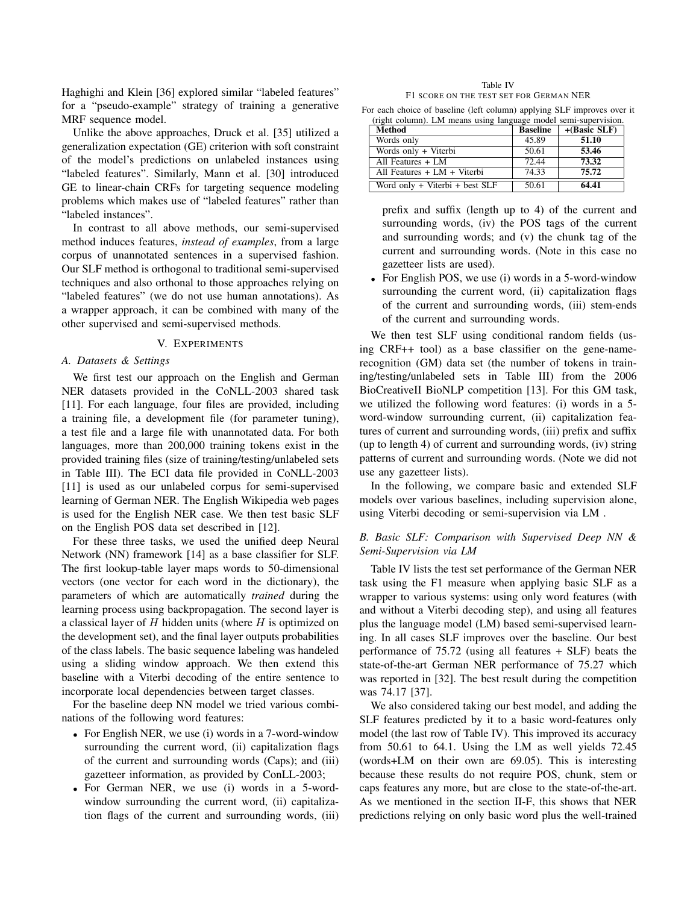Haghighi and Klein [36] explored similar "labeled features" for a "pseudo-example" strategy of training a generative MRF sequence model.

Unlike the above approaches, Druck et al. [35] utilized a generalization expectation (GE) criterion with soft constraint of the model's predictions on unlabeled instances using "labeled features". Similarly, Mann et al. [30] introduced GE to linear-chain CRFs for targeting sequence modeling problems which makes use of "labeled features" rather than "labeled instances".

In contrast to all above methods, our semi-supervised method induces features, *instead of examples*, from a large corpus of unannotated sentences in a supervised fashion. Our SLF method is orthogonal to traditional semi-supervised techniques and also orthonal to those approaches relying on "labeled features" (we do not use human annotations). As a wrapper approach, it can be combined with many of the other supervised and semi-supervised methods.

## V. EXPERIMENTS

#### *A. Datasets & Settings*

We first test our approach on the English and German NER datasets provided in the CoNLL-2003 shared task [11]. For each language, four files are provided, including a training file, a development file (for parameter tuning), a test file and a large file with unannotated data. For both languages, more than 200,000 training tokens exist in the provided training files (size of training/testing/unlabeled sets in Table III). The ECI data file provided in CoNLL-2003 [11] is used as our unlabeled corpus for semi-supervised learning of German NER. The English Wikipedia web pages is used for the English NER case. We then test basic SLF on the English POS data set described in [12].

For these three tasks, we used the unified deep Neural Network (NN) framework [14] as a base classifier for SLF. The first lookup-table layer maps words to 50-dimensional vectors (one vector for each word in the dictionary), the parameters of which are automatically *trained* during the learning process using backpropagation. The second layer is a classical layer of  $H$  hidden units (where  $H$  is optimized on the development set), and the final layer outputs probabilities of the class labels. The basic sequence labeling was handeled using a sliding window approach. We then extend this baseline with a Viterbi decoding of the entire sentence to incorporate local dependencies between target classes.

For the baseline deep NN model we tried various combinations of the following word features:

- For English NER, we use (i) words in a 7-word-window surrounding the current word, (ii) capitalization flags of the current and surrounding words (Caps); and (iii) gazetteer information, as provided by ConLL-2003;
- For German NER, we use (i) words in a 5-wordwindow surrounding the current word, (ii) capitalization flags of the current and surrounding words, (iii)

Table IV F1 SCORE ON THE TEST SET FOR GERMAN NER

For each choice of baseline (left column) applying SLF improves over it (right column). LM means using language model semi-supervision.

| <b>Method</b>                      | <b>Baseline</b> | $+(Basic SLF)$ |
|------------------------------------|-----------------|----------------|
| Words only                         | 45.89           | 51.10          |
| Words only + Viterbi               | 50.61           | 53.46          |
| All Features + LM                  | 72.44           | 73.32          |
| All Features + LM + Viterbi        | 74.33           | 75.72          |
| Word only $+$ Viterbi $+$ best SLF | 50.61           | 64.41          |

prefix and suffix (length up to 4) of the current and surrounding words, (iv) the POS tags of the current and surrounding words; and (v) the chunk tag of the current and surrounding words. (Note in this case no gazetteer lists are used).

• For English POS, we use (i) words in a 5-word-window surrounding the current word, (ii) capitalization flags of the current and surrounding words, (iii) stem-ends of the current and surrounding words.

We then test SLF using conditional random fields (using CRF++ tool) as a base classifier on the gene-namerecognition (GM) data set (the number of tokens in training/testing/unlabeled sets in Table III) from the 2006 BioCreativeII BioNLP competition [13]. For this GM task, we utilized the following word features: (i) words in a 5 word-window surrounding current, (ii) capitalization features of current and surrounding words, (iii) prefix and suffix (up to length 4) of current and surrounding words, (iv) string patterns of current and surrounding words. (Note we did not use any gazetteer lists).

In the following, we compare basic and extended SLF models over various baselines, including supervision alone, using Viterbi decoding or semi-supervision via LM .

# *B. Basic SLF: Comparison with Supervised Deep NN & Semi-Supervision via LM*

Table IV lists the test set performance of the German NER task using the F1 measure when applying basic SLF as a wrapper to various systems: using only word features (with and without a Viterbi decoding step), and using all features plus the language model (LM) based semi-supervised learning. In all cases SLF improves over the baseline. Our best performance of 75.72 (using all features + SLF) beats the state-of-the-art German NER performance of 75.27 which was reported in [32]. The best result during the competition was 74.17 [37].

We also considered taking our best model, and adding the SLF features predicted by it to a basic word-features only model (the last row of Table IV). This improved its accuracy from 50.61 to 64.1. Using the LM as well yields 72.45 (words+LM on their own are 69.05). This is interesting because these results do not require POS, chunk, stem or caps features any more, but are close to the state-of-the-art. As we mentioned in the section II-F, this shows that NER predictions relying on only basic word plus the well-trained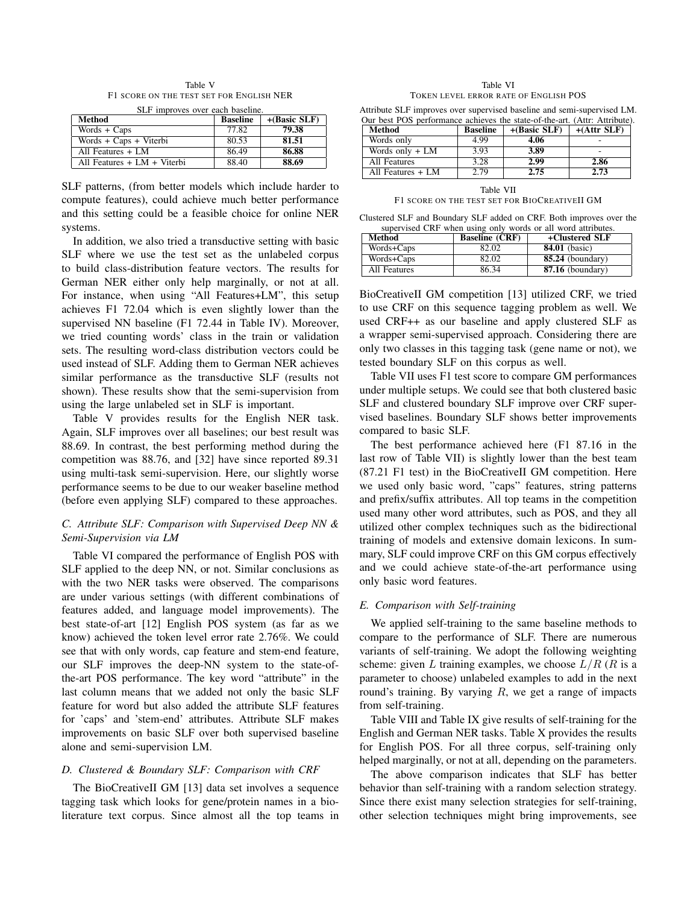Table V F1 SCORE ON THE TEST SET FOR ENGLISH NER

| SLF improves over each baseline. |                 |                |  |  |
|----------------------------------|-----------------|----------------|--|--|
| Method                           | <b>Baseline</b> | $+(Basic SLF)$ |  |  |
| Words $+$ Caps                   | 77.82           | 79.38          |  |  |
| Words + Caps + Viterbi           | 80.53           | 81.51          |  |  |
| All Features + LM                | 86.49           | 86.88          |  |  |
| All Features $+ LM + Viterbi$    | 88.40           | 88.69          |  |  |

SLF patterns, (from better models which include harder to compute features), could achieve much better performance and this setting could be a feasible choice for online NER systems.

In addition, we also tried a transductive setting with basic SLF where we use the test set as the unlabeled corpus to build class-distribution feature vectors. The results for German NER either only help marginally, or not at all. For instance, when using "All Features+LM", this setup achieves F1 72.04 which is even slightly lower than the supervised NN baseline (F1 72.44 in Table IV). Moreover, we tried counting words' class in the train or validation sets. The resulting word-class distribution vectors could be used instead of SLF. Adding them to German NER achieves similar performance as the transductive SLF (results not shown). These results show that the semi-supervision from using the large unlabeled set in SLF is important.

Table V provides results for the English NER task. Again, SLF improves over all baselines; our best result was 88.69. In contrast, the best performing method during the competition was 88.76, and [32] have since reported 89.31 using multi-task semi-supervision. Here, our slightly worse performance seems to be due to our weaker baseline method (before even applying SLF) compared to these approaches.

# *C. Attribute SLF: Comparison with Supervised Deep NN & Semi-Supervision via LM*

Table VI compared the performance of English POS with SLF applied to the deep NN, or not. Similar conclusions as with the two NER tasks were observed. The comparisons are under various settings (with different combinations of features added, and language model improvements). The best state-of-art [12] English POS system (as far as we know) achieved the token level error rate 2.76%. We could see that with only words, cap feature and stem-end feature, our SLF improves the deep-NN system to the state-ofthe-art POS performance. The key word "attribute" in the last column means that we added not only the basic SLF feature for word but also added the attribute SLF features for 'caps' and 'stem-end' attributes. Attribute SLF makes improvements on basic SLF over both supervised baseline alone and semi-supervision LM.

# *D. Clustered & Boundary SLF: Comparison with CRF*

The BioCreativeII GM [13] data set involves a sequence tagging task which looks for gene/protein names in a bioliterature text corpus. Since almost all the top teams in

| Table VI                              |  |  |  |
|---------------------------------------|--|--|--|
| TOKEN LEVEL ERROR RATE OF ENGLISH POS |  |  |  |

Attribute SLF improves over supervised baseline and semi-supervised LM. Our best POS performance achieves the state-of-the-art. (Attr: Attribute).

| Method            | <b>Baseline</b> | $+(Basic SLF)$ | $+(Attr SLF)$ |
|-------------------|-----------------|----------------|---------------|
| Words only        | 4.99            | 4.06           |               |
| Words only + LM   | 3.93            | 3.89           |               |
| All Features      | 3.28            | 2.99           | 2.86          |
| All Features + LM | 2.79            | 2.75           | 2.73          |

Table VII F1 SCORE ON THE TEST SET FOR BIOCREATIVEII GM

Clustered SLF and Boundary SLF added on CRF. Both improves over the supervised CRF when using only words or all word attributes.

| Method       | <b>Baseline (CRF)</b> | +Clustered SLF       |
|--------------|-----------------------|----------------------|
| Words+Caps   | 82.02                 | <b>84.01</b> (basic) |
| Words+Caps   | 82.02                 | $85.24$ (boundary)   |
| All Features | 86.34                 | $87.16$ (boundary)   |

BioCreativeII GM competition [13] utilized CRF, we tried to use CRF on this sequence tagging problem as well. We used CRF++ as our baseline and apply clustered SLF as a wrapper semi-supervised approach. Considering there are only two classes in this tagging task (gene name or not), we tested boundary SLF on this corpus as well.

Table VII uses F1 test score to compare GM performances under multiple setups. We could see that both clustered basic SLF and clustered boundary SLF improve over CRF supervised baselines. Boundary SLF shows better improvements compared to basic SLF.

The best performance achieved here (F1 87.16 in the last row of Table VII) is slightly lower than the best team (87.21 F1 test) in the BioCreativeII GM competition. Here we used only basic word, "caps" features, string patterns and prefix/suffix attributes. All top teams in the competition used many other word attributes, such as POS, and they all utilized other complex techniques such as the bidirectional training of models and extensive domain lexicons. In summary, SLF could improve CRF on this GM corpus effectively and we could achieve state-of-the-art performance using only basic word features.

## *E. Comparison with Self-training*

We applied self-training to the same baseline methods to compare to the performance of SLF. There are numerous variants of self-training. We adopt the following weighting scheme: given L training examples, we choose  $L/R$  (R is a parameter to choose) unlabeled examples to add in the next round's training. By varying  $R$ , we get a range of impacts from self-training.

Table VIII and Table IX give results of self-training for the English and German NER tasks. Table X provides the results for English POS. For all three corpus, self-training only helped marginally, or not at all, depending on the parameters.

The above comparison indicates that SLF has better behavior than self-training with a random selection strategy. Since there exist many selection strategies for self-training, other selection techniques might bring improvements, see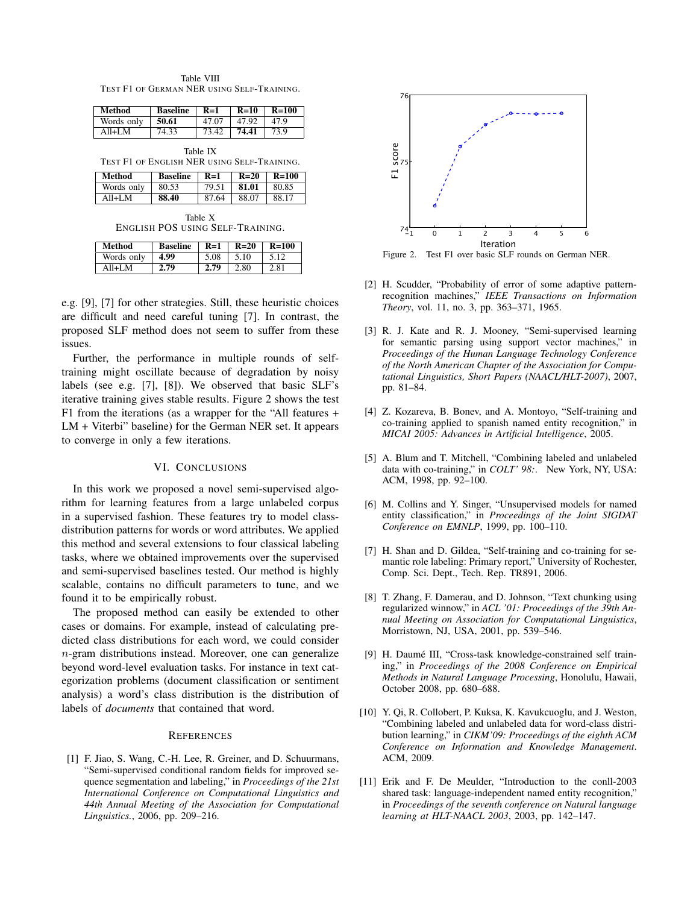| Table VIII                                 |  |  |  |
|--------------------------------------------|--|--|--|
| TEST F1 OF GERMAN NER USING SELF-TRAINING. |  |  |  |

| Method     | <b>Baseline</b> | $R=1$ | $R=10$ | $R=100$ |
|------------|-----------------|-------|--------|---------|
| Words only | 50.61           | 47.07 | 47.92  | 47.9    |
| A11+I M    | 74.33           | 73.42 | 74.41  | 73.9    |
|            |                 |       |        |         |

Table IX TEST F1 OF ENGLISH NER USING SELF-TRAINING.

| Method     | <b>Baseline</b> | $R=1$ | $R=20$ | $R=100$ |
|------------|-----------------|-------|--------|---------|
| Words only | 80.53           | 79.51 | 81.01  | 80.85   |
| A11+I M    | 88.40           | 87.64 | 88.07  | 88.17   |

Table X ENGLISH POS USING SELF-TRAINING.

| Method     | <b>Baseline</b> | $R=1$ | $R=20$ | $R=100$ |
|------------|-----------------|-------|--------|---------|
| Words only | 4.99            | 5.08  | 5.10   |         |
| ∆ 11⊥I M   | 2.79            | 2.79  | 2.80   | 2.81    |

e.g. [9], [7] for other strategies. Still, these heuristic choices are difficult and need careful tuning [7]. In contrast, the proposed SLF method does not seem to suffer from these issues.

Further, the performance in multiple rounds of selftraining might oscillate because of degradation by noisy labels (see e.g. [7], [8]). We observed that basic SLF's iterative training gives stable results. Figure 2 shows the test F1 from the iterations (as a wrapper for the "All features + LM + Viterbi" baseline) for the German NER set. It appears to converge in only a few iterations.

## VI. CONCLUSIONS

In this work we proposed a novel semi-supervised algorithm for learning features from a large unlabeled corpus in a supervised fashion. These features try to model classdistribution patterns for words or word attributes. We applied this method and several extensions to four classical labeling tasks, where we obtained improvements over the supervised and semi-supervised baselines tested. Our method is highly scalable, contains no difficult parameters to tune, and we found it to be empirically robust.

The proposed method can easily be extended to other cases or domains. For example, instead of calculating predicted class distributions for each word, we could consider n-gram distributions instead. Moreover, one can generalize beyond word-level evaluation tasks. For instance in text categorization problems (document classification or sentiment analysis) a word's class distribution is the distribution of labels of *documents* that contained that word.

# **REFERENCES**

[1] F. Jiao, S. Wang, C.-H. Lee, R. Greiner, and D. Schuurmans, "Semi-supervised conditional random fields for improved sequence segmentation and labeling," in *Proceedings of the 21st International Conference on Computational Linguistics and 44th Annual Meeting of the Association for Computational Linguistics.*, 2006, pp. 209–216.



Figure 2. Test F1 over basic SLF rounds on German NER.

- [2] H. Scudder, "Probability of error of some adaptive patternrecognition machines," *IEEE Transactions on Information Theory*, vol. 11, no. 3, pp. 363–371, 1965.
- [3] R. J. Kate and R. J. Mooney, "Semi-supervised learning for semantic parsing using support vector machines," in *Proceedings of the Human Language Technology Conference of the North American Chapter of the Association for Computational Linguistics, Short Papers (NAACL/HLT-2007)*, 2007, pp. 81–84.
- [4] Z. Kozareva, B. Bonev, and A. Montoyo, "Self-training and co-training applied to spanish named entity recognition," in *MICAI 2005: Advances in Artificial Intelligence*, 2005.
- [5] A. Blum and T. Mitchell, "Combining labeled and unlabeled data with co-training," in *COLT' 98:*. New York, NY, USA: ACM, 1998, pp. 92–100.
- [6] M. Collins and Y. Singer, "Unsupervised models for named entity classification," in *Proceedings of the Joint SIGDAT Conference on EMNLP*, 1999, pp. 100–110.
- [7] H. Shan and D. Gildea, "Self-training and co-training for semantic role labeling: Primary report," University of Rochester, Comp. Sci. Dept., Tech. Rep. TR891, 2006.
- [8] T. Zhang, F. Damerau, and D. Johnson, "Text chunking using regularized winnow," in *ACL '01: Proceedings of the 39th Annual Meeting on Association for Computational Linguistics*, Morristown, NJ, USA, 2001, pp. 539–546.
- [9] H. Daumé III, "Cross-task knowledge-constrained self training," in *Proceedings of the 2008 Conference on Empirical Methods in Natural Language Processing*, Honolulu, Hawaii, October 2008, pp. 680–688.
- [10] Y. Qi, R. Collobert, P. Kuksa, K. Kavukcuoglu, and J. Weston, "Combining labeled and unlabeled data for word-class distribution learning," in *CIKM'09: Proceedings of the eighth ACM Conference on Information and Knowledge Management*. ACM, 2009.
- [11] Erik and F. De Meulder, "Introduction to the conll-2003 shared task: language-independent named entity recognition," in *Proceedings of the seventh conference on Natural language learning at HLT-NAACL 2003*, 2003, pp. 142–147.